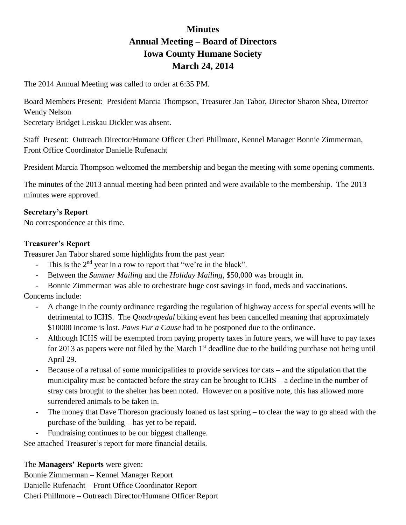# **Minutes Annual Meeting – Board of Directors Iowa County Humane Society March 24, 2014**

The 2014 Annual Meeting was called to order at 6:35 PM.

Board Members Present: President Marcia Thompson, Treasurer Jan Tabor, Director Sharon Shea, Director Wendy Nelson Secretary Bridget Leiskau Dickler was absent.

Staff Present: Outreach Director/Humane Officer Cheri Phillmore, Kennel Manager Bonnie Zimmerman, Front Office Coordinator Danielle Rufenacht

President Marcia Thompson welcomed the membership and began the meeting with some opening comments.

The minutes of the 2013 annual meeting had been printed and were available to the membership. The 2013 minutes were approved.

# **Secretary's Report**

No correspondence at this time.

# **Treasurer's Report**

Treasurer Jan Tabor shared some highlights from the past year:

- This is the 2<sup>nd</sup> year in a row to report that "we're in the black".
- Between the *Summer Mailing* and the *Holiday Mailing*, \$50,000 was brought in.
- Bonnie Zimmerman was able to orchestrate huge cost savings in food, meds and vaccinations.

Concerns include:

- A change in the county ordinance regarding the regulation of highway access for special events will be detrimental to ICHS. The *Quadrupedal* biking event has been cancelled meaning that approximately \$10000 income is lost. *Paws Fur a Cause* had to be postponed due to the ordinance.
- Although ICHS will be exempted from paying property taxes in future years, we will have to pay taxes for 2013 as papers were not filed by the March  $1<sup>st</sup>$  deadline due to the building purchase not being until April 29.
- Because of a refusal of some municipalities to provide services for cats and the stipulation that the municipality must be contacted before the stray can be brought to ICHS – a decline in the number of stray cats brought to the shelter has been noted. However on a positive note, this has allowed more surrendered animals to be taken in.
- The money that Dave Thoreson graciously loaned us last spring to clear the way to go ahead with the purchase of the building – has yet to be repaid.
- Fundraising continues to be our biggest challenge.

See attached Treasurer's report for more financial details.

The **Managers' Reports** were given:

Bonnie Zimmerman – Kennel Manager Report Danielle Rufenacht – Front Office Coordinator Report Cheri Phillmore – Outreach Director/Humane Officer Report